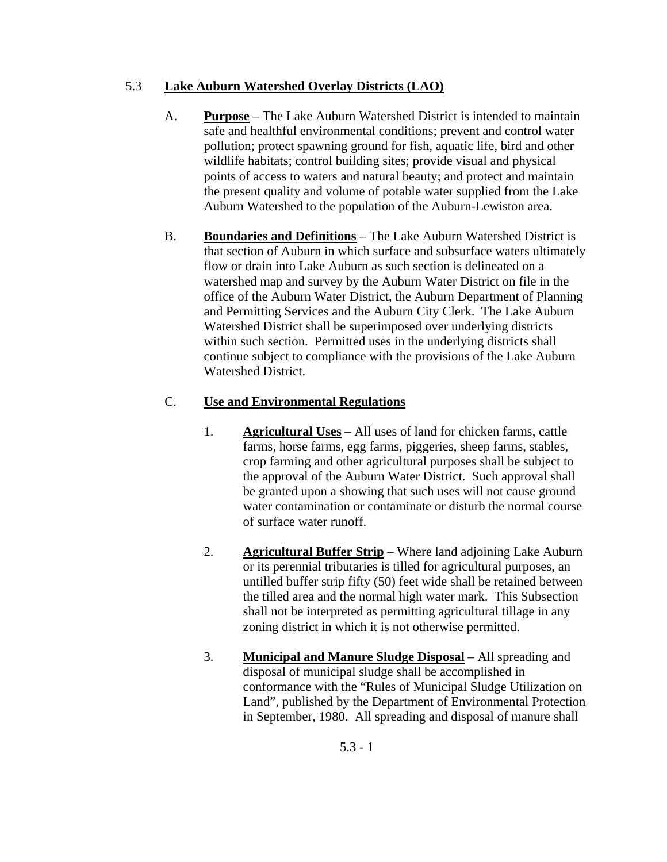## 5.3 **Lake Auburn Watershed Overlay Districts (LAO)**

- A. **Purpose** The Lake Auburn Watershed District is intended to maintain safe and healthful environmental conditions; prevent and control water pollution; protect spawning ground for fish, aquatic life, bird and other wildlife habitats; control building sites; provide visual and physical points of access to waters and natural beauty; and protect and maintain the present quality and volume of potable water supplied from the Lake Auburn Watershed to the population of the Auburn-Lewiston area.
- B. **Boundaries and Definitions** The Lake Auburn Watershed District is that section of Auburn in which surface and subsurface waters ultimately flow or drain into Lake Auburn as such section is delineated on a watershed map and survey by the Auburn Water District on file in the office of the Auburn Water District, the Auburn Department of Planning and Permitting Services and the Auburn City Clerk. The Lake Auburn Watershed District shall be superimposed over underlying districts within such section. Permitted uses in the underlying districts shall continue subject to compliance with the provisions of the Lake Auburn Watershed District.

## C. **Use and Environmental Regulations**

- 1. **Agricultural Uses** All uses of land for chicken farms, cattle farms, horse farms, egg farms, piggeries, sheep farms, stables, crop farming and other agricultural purposes shall be subject to the approval of the Auburn Water District. Such approval shall be granted upon a showing that such uses will not cause ground water contamination or contaminate or disturb the normal course of surface water runoff.
- 2. **Agricultural Buffer Strip** Where land adjoining Lake Auburn or its perennial tributaries is tilled for agricultural purposes, an untilled buffer strip fifty (50) feet wide shall be retained between the tilled area and the normal high water mark. This Subsection shall not be interpreted as permitting agricultural tillage in any zoning district in which it is not otherwise permitted.
- 3. **Municipal and Manure Sludge Disposal** All spreading and disposal of municipal sludge shall be accomplished in conformance with the "Rules of Municipal Sludge Utilization on Land", published by the Department of Environmental Protection in September, 1980. All spreading and disposal of manure shall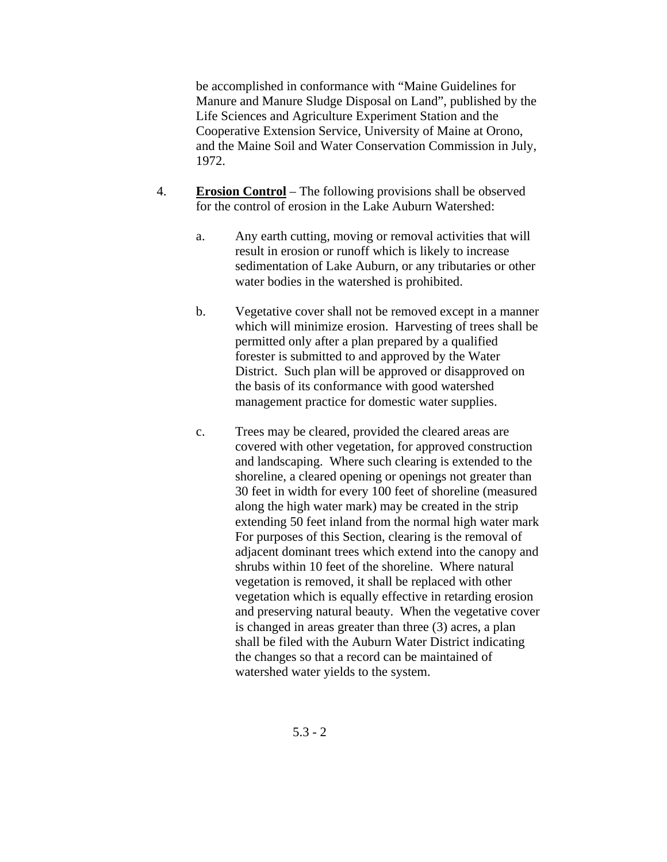be accomplished in conformance with "Maine Guidelines for Manure and Manure Sludge Disposal on Land", published by the Life Sciences and Agriculture Experiment Station and the Cooperative Extension Service, University of Maine at Orono, and the Maine Soil and Water Conservation Commission in July, 1972.

- 4. **Erosion Control** The following provisions shall be observed for the control of erosion in the Lake Auburn Watershed:
	- a. Any earth cutting, moving or removal activities that will result in erosion or runoff which is likely to increase sedimentation of Lake Auburn, or any tributaries or other water bodies in the watershed is prohibited.
	- b. Vegetative cover shall not be removed except in a manner which will minimize erosion. Harvesting of trees shall be permitted only after a plan prepared by a qualified forester is submitted to and approved by the Water District. Such plan will be approved or disapproved on the basis of its conformance with good watershed management practice for domestic water supplies.
	- c. Trees may be cleared, provided the cleared areas are covered with other vegetation, for approved construction and landscaping. Where such clearing is extended to the shoreline, a cleared opening or openings not greater than 30 feet in width for every 100 feet of shoreline (measured along the high water mark) may be created in the strip extending 50 feet inland from the normal high water mark For purposes of this Section, clearing is the removal of adjacent dominant trees which extend into the canopy and shrubs within 10 feet of the shoreline. Where natural vegetation is removed, it shall be replaced with other vegetation which is equally effective in retarding erosion and preserving natural beauty. When the vegetative cover is changed in areas greater than three (3) acres, a plan shall be filed with the Auburn Water District indicating the changes so that a record can be maintained of watershed water yields to the system.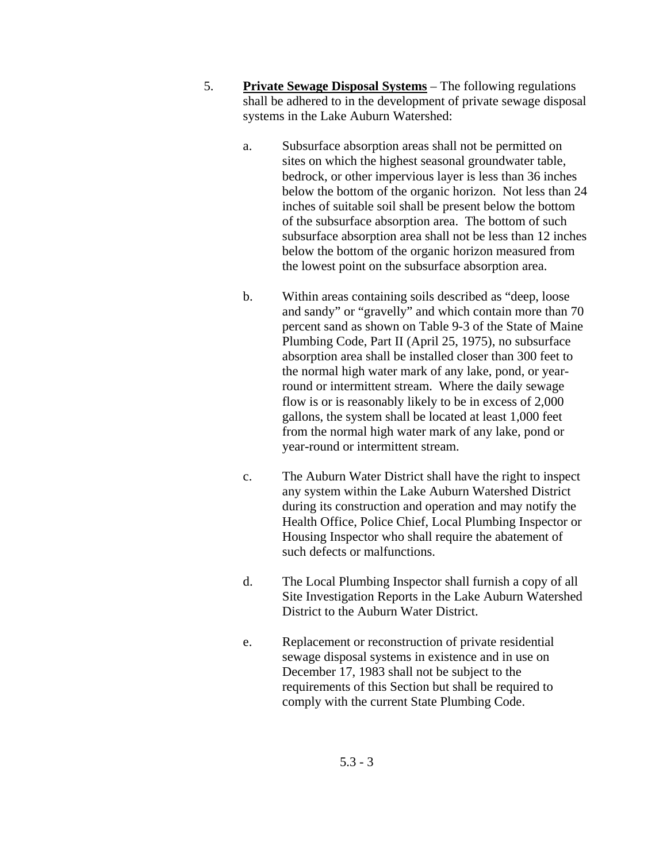- 5. **Private Sewage Disposal Systems** The following regulations shall be adhered to in the development of private sewage disposal systems in the Lake Auburn Watershed:
	- a. Subsurface absorption areas shall not be permitted on sites on which the highest seasonal groundwater table, bedrock, or other impervious layer is less than 36 inches below the bottom of the organic horizon. Not less than 24 inches of suitable soil shall be present below the bottom of the subsurface absorption area. The bottom of such subsurface absorption area shall not be less than 12 inches below the bottom of the organic horizon measured from the lowest point on the subsurface absorption area.
	- b. Within areas containing soils described as "deep, loose and sandy" or "gravelly" and which contain more than 70 percent sand as shown on Table 9-3 of the State of Maine Plumbing Code, Part II (April 25, 1975), no subsurface absorption area shall be installed closer than 300 feet to the normal high water mark of any lake, pond, or yearround or intermittent stream. Where the daily sewage flow is or is reasonably likely to be in excess of 2,000 gallons, the system shall be located at least 1,000 feet from the normal high water mark of any lake, pond or year-round or intermittent stream.
	- c. The Auburn Water District shall have the right to inspect any system within the Lake Auburn Watershed District during its construction and operation and may notify the Health Office, Police Chief, Local Plumbing Inspector or Housing Inspector who shall require the abatement of such defects or malfunctions.
	- d. The Local Plumbing Inspector shall furnish a copy of all Site Investigation Reports in the Lake Auburn Watershed District to the Auburn Water District.
	- e. Replacement or reconstruction of private residential sewage disposal systems in existence and in use on December 17, 1983 shall not be subject to the requirements of this Section but shall be required to comply with the current State Plumbing Code.